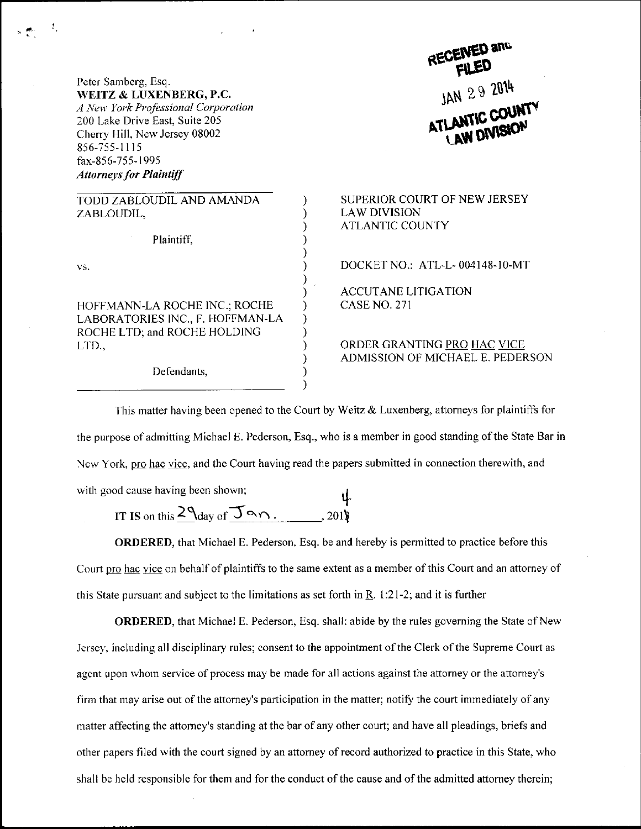Peter Samberg, Esq. WEITZ & LUXENBERG, P.C. A New York Professional Corporation 200 Lake Drive East, Suite 205 Cherry Hill, New Jersey 08002 856-755-1115 fax-856-755- 1995 **Attorneys for Plaintiff** 

TODD ZABLOUDIL AND AMANDA ZABLOUDIL,

Plaintiff.

vs.

HOFFMANN.LA ROCHE INC.; ROCHE LABORATORIES INC., F. HOFFMAN-LA ROCHE LTD: and ROCHE HOLDING Lt'D..

Defendants,

## JAN 29 2014

SUPERIOR COURT OF NEW JERSEY LAW DIVISION ATLANTIC COUNTY

DOCKET NO.: ATL-L-004148-10-MT

ACCUTANE LITIGATION CASENO,27l

ORDER GRANTING PRO HAC VICE ADMISSION OF MICHAEL E. PEDERSON

This matter having been opened to the Court by Weitz & Luxenberg, attorneys for plaintiffs for the purpose of admitting Michael E. Pederson, Esq., who is a member in good standing of the State Bar in New York, pro hac vice, and the Court having read the papers submitted in connection therewith, and with good cause having been shown;

 $\mathcal{E}$  $\mathcal{E}$ 

 $\mathcal{E}$ 

 $\mathcal{E}$ 

 $\mathcal{E}$ ).

 $\mathcal{C}$  $\mathcal{E}$ J.

IT IS on this  $2\frac{q}{q}$  of  $\overline{q}$  on. 2018 201l

ORDERED, that Michael E. Pederson, Esq. be and hereby is permitted to practice before this Court pro hac vice on behalf of plaintiffs to the same extent as a member of this Court and an attorney of this State pursuant and subject to the limitations as set forth in R. 1:21-2; and it is further

ORDERED, that Michael E. Pederson, Esq. shall: abide by the rules goveming the State of New Jersey, including all disciplinary rules; consent to the appointment of the Clerk of the Supreme Court as agent upon whom service of process may be made for all actions against the attorney or the attorney's firm that may arise out of the attorney's participation in the matter; notify the court immediately of any matter affecting the attorney's standing at the bar of any other court; and have all pleadings, briefs and other papers filed with the court signed by an attomey ofrecord authorized to practice in this State, who shall be held responsible for them and for the conduct of the cause and of the admitted attomey therein;